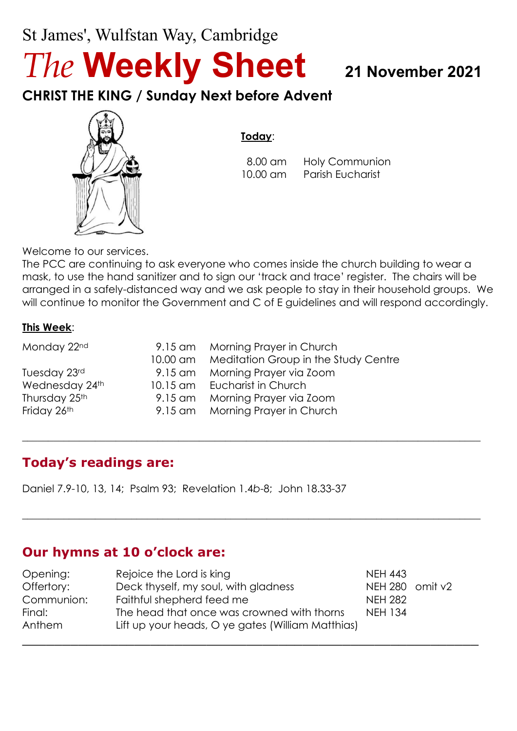## St James', Wulfstan Way, Cambridge

# *The* **Weekly Sheet <sup>21</sup> November <sup>2021</sup>**

**CHRIST THE KING / Sunday Next before Advent**



## **Today**:

 8.00 am Holy Communion 10.00 am Parish Eucharist

Welcome to our services.

The PCC are continuing to ask everyone who comes inside the church building to wear a mask, to use the hand sanitizer and to sign our 'track and trace' register. The chairs will be arranged in a safely-distanced way and we ask people to stay in their household groups. We will continue to monitor the Government and C of E guidelines and will respond accordingly.

 $\_$  , and the set of the set of the set of the set of the set of the set of the set of the set of the set of the set of the set of the set of the set of the set of the set of the set of the set of the set of the set of th

 $\_$  , and the set of the set of the set of the set of the set of the set of the set of the set of the set of the set of the set of the set of the set of the set of the set of the set of the set of the set of the set of th

#### **This Week**:

| Monday 22nd    | 9.15 am Morning Prayer in Church              |
|----------------|-----------------------------------------------|
|                | 10.00 am Meditation Group in the Study Centre |
| Tuesday 23rd   | 9.15 am Morning Prayer via Zoom               |
| Wednesday 24th | 10.15 am Eucharist in Church                  |
| Thursday 25th  | 9.15 am Morning Prayer via Zoom               |
| Friday 26th    | 9.15 am Morning Prayer in Church              |

## **Today's readings are:**

Daniel 7.9-10, 13, 14; Psalm 93; Revelation 1.4*b*-8; John 18.33-37

## **Our hymns at 10 o'clock are:**

| Opening:   | Rejoice the Lord is king                          | <b>NEH 443</b>  |  |
|------------|---------------------------------------------------|-----------------|--|
| Offertory: | Deck thyself, my soul, with gladness              | NEH 280 omit v2 |  |
| Communion: | Faithful shepherd feed me                         | <b>NEH 282</b>  |  |
| Final:     | The head that once was crowned with thorns        | <b>NEH 134</b>  |  |
| Anthem     | Lift up your heads, O ye gates (William Matthias) |                 |  |
|            |                                                   |                 |  |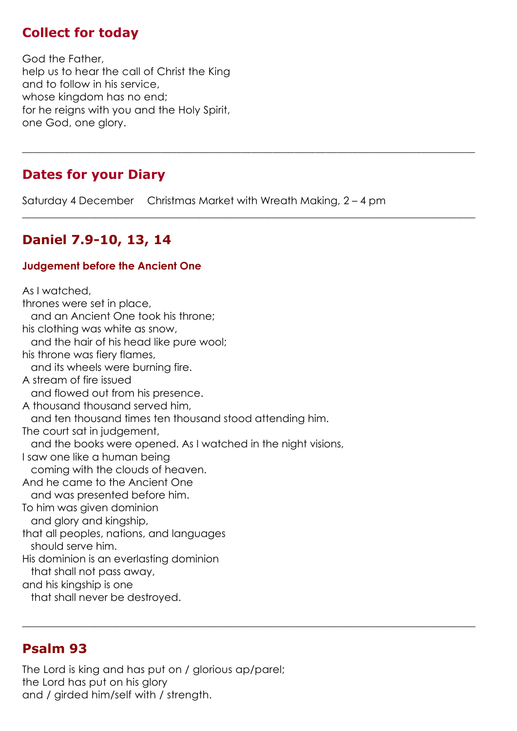## **Collect for today**

God the Father, help us to hear the call of Christ the King and to follow in his service, whose kingdom has no end; for he reigns with you and the Holy Spirit, one God, one glory.

## **Dates for your Diary**

Saturday 4 December Christmas Market with Wreath Making, 2 – 4 pm

\_\_\_\_\_\_\_\_\_\_\_\_\_\_\_\_\_\_\_\_\_\_\_\_\_\_\_\_\_\_\_\_\_\_\_\_\_\_\_\_\_\_\_\_\_\_\_\_\_\_\_\_\_\_\_\_\_\_\_\_\_\_\_\_\_\_\_\_\_\_\_\_\_\_\_\_\_\_\_\_\_\_\_\_\_

 $\_$  , and the set of the set of the set of the set of the set of the set of the set of the set of the set of the set of the set of the set of the set of the set of the set of the set of the set of the set of the set of th

 $\_$  , and the set of the set of the set of the set of the set of the set of the set of the set of the set of the set of the set of the set of the set of the set of the set of the set of the set of the set of the set of th

## **Daniel 7.9-10, 13, 14**

#### **Judgement before the Ancient One**

As I watched, thrones were set in place, and an Ancient One took his throne; his clothing was white as snow, and the hair of his head like pure wool; his throne was fiery flames, and its wheels were burning fire. A stream of fire issued and flowed out from his presence. A thousand thousand served him, and ten thousand times ten thousand stood attending him. The court sat in judgement, and the books were opened. As I watched in the night visions, I saw one like a human being coming with the clouds of heaven. And he came to the Ancient One and was presented before him. To him was given dominion and glory and kingship, that all peoples, nations, and languages should serve him. His dominion is an everlasting dominion that shall not pass away, and his kingship is one that shall never be destroyed.

## **Psalm 93**

The Lord is king and has put on / glorious ap/parel; the Lord has put on his glory and / girded him/self with / strength.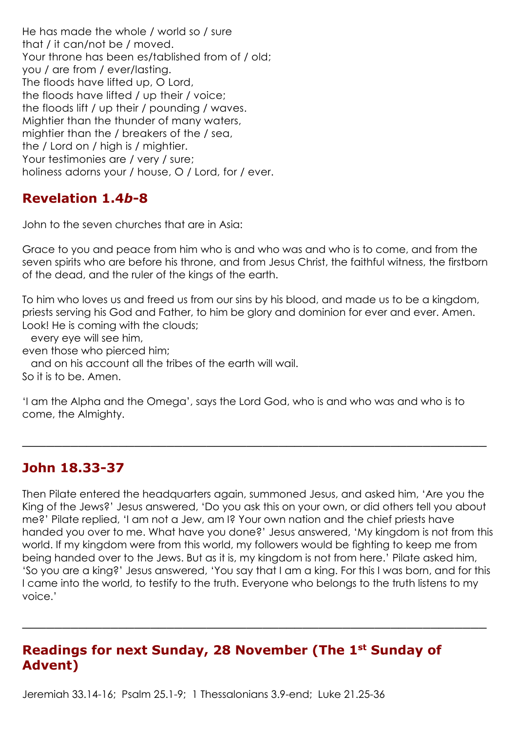He has made the whole / world so / sure that / it can/not be / moved. Your throne has been es/tablished from of / old; you / are from / ever/lasting. The floods have lifted up, O Lord, the floods have lifted / up their / voice; the floods lift / up their / pounding / waves. Mightier than the thunder of many waters, mightier than the / breakers of the / sea, the / Lord on / high is / mightier. Your testimonies are / very / sure; holiness adorns your / house, O / Lord, for / ever.

## **Revelation 1.4***b***-8**

John to the seven churches that are in Asia:

Grace to you and peace from him who is and who was and who is to come, and from the seven spirits who are before his throne, and from Jesus Christ, the faithful witness, the firstborn of the dead, and the ruler of the kings of the earth.

To him who loves us and freed us from our sins by his blood, and made us to be a kingdom, priests serving his God and Father, to him be glory and dominion for ever and ever. Amen. Look! He is coming with the clouds;

every eye will see him,

even those who pierced him;

and on his account all the tribes of the earth will wail.

So it is to be. Amen.

'I am the Alpha and the Omega', says the Lord God, who is and who was and who is to come, the Almighty.

\_\_\_\_\_\_\_\_\_\_\_\_\_\_\_\_\_\_\_\_\_\_\_\_\_\_\_\_\_\_\_\_\_\_\_\_\_\_\_\_\_\_\_\_\_\_\_\_\_\_\_\_\_\_\_\_\_\_

## **John 18.33-37**

Then Pilate entered the headquarters again, summoned Jesus, and asked him, 'Are you the King of the Jews?' Jesus answered, 'Do you ask this on your own, or did others tell you about me?' Pilate replied, 'I am not a Jew, am I? Your own nation and the chief priests have handed you over to me. What have you done?' Jesus answered, 'My kingdom is not from this world. If my kingdom were from this world, my followers would be fighting to keep me from being handed over to the Jews. But as it is, my kingdom is not from here.' Pilate asked him, 'So you are a king?' Jesus answered, 'You say that I am a king. For this I was born, and for this I came into the world, to testify to the truth. Everyone who belongs to the truth listens to my voice.'

\_\_\_\_\_\_\_\_\_\_\_\_\_\_\_\_\_\_\_\_\_\_\_\_\_\_\_\_\_\_\_\_\_\_\_\_\_\_\_\_\_\_\_\_\_\_\_\_\_\_\_\_\_\_\_\_\_\_

## **Readings for next Sunday, 28 November (The 1st Sunday of Advent)**

Jeremiah 33.14-16; Psalm 25.1-9; 1 Thessalonians 3.9-end; Luke 21.25-36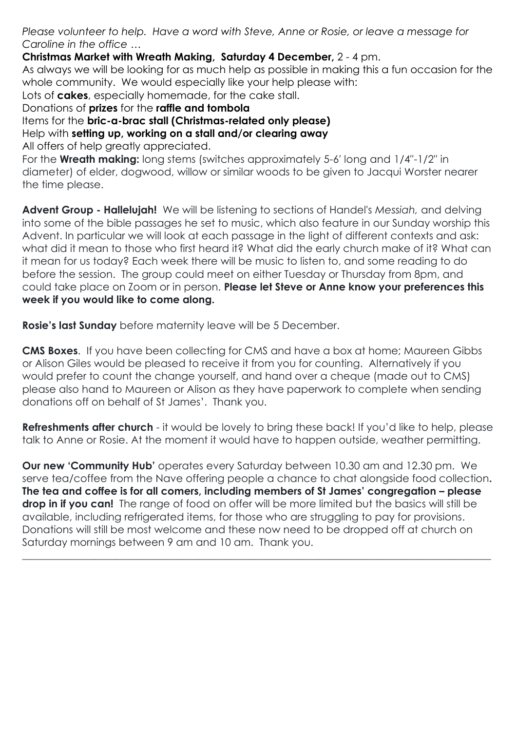*Please volunteer to help. Have a word with Steve, Anne or Rosie, or leave a message for Caroline in the office …*

**Christmas Market with Wreath Making, Saturday 4 December,** 2 - 4 pm.

As always we will be looking for as much help as possible in making this a fun occasion for the whole community. We would especially like your help please with:

Lots of **cakes**, especially homemade, for the cake stall.

Donations of **prizes** for the **raffle and tombola**

Items for the **bric-a-brac stall (Christmas-related only please)**

Help with **setting up, working on a stall and/or clearing away**

All offers of help greatly appreciated.

For the **Wreath making:** long stems (switches approximately 5-6′ long and 1/4″-1/2″ in diameter) of elder, dogwood, willow or similar woods to be given to Jacqui Worster nearer the time please.

**Advent Group - Hallelujah!** We will be listening to sections of Handel's *Messiah,* and delving into some of the bible passages he set to music, which also feature in our Sunday worship this Advent. In particular we will look at each passage in the light of different contexts and ask: what did it mean to those who first heard it? What did the early church make of it? What can it mean for us today? Each week there will be music to listen to, and some reading to do before the session. The group could meet on either Tuesday or Thursday from 8pm, and could take place on Zoom or in person. **Please let Steve or Anne know your preferences this week if you would like to come along.**

**Rosie's last Sunday** before maternity leave will be 5 December.

**CMS Boxes**. If you have been collecting for CMS and have a box at home; Maureen Gibbs or Alison Giles would be pleased to receive it from you for counting. Alternatively if you would prefer to count the change yourself, and hand over a cheque (made out to CMS) please also hand to Maureen or Alison as they have paperwork to complete when sending donations off on behalf of St James'. Thank you.

**Refreshments after church** - it would be lovely to bring these back! If you'd like to help, please talk to Anne or Rosie. At the moment it would have to happen outside, weather permitting.

**Our new 'Community Hub'** operates every Saturday between 10.30 am and 12.30 pm. We serve tea/coffee from the Nave offering people a chance to chat alongside food collection**. The tea and coffee is for all comers, including members of St James' congregation – please drop in if you can!** The range of food on offer will be more limited but the basics will still be available, including refrigerated items, for those who are struggling to pay for provisions. Donations will still be most welcome and these now need to be dropped off at church on Saturday mornings between 9 am and 10 am. Thank you.

 $\_$  , and the set of the set of the set of the set of the set of the set of the set of the set of the set of the set of the set of the set of the set of the set of the set of the set of the set of the set of the set of th